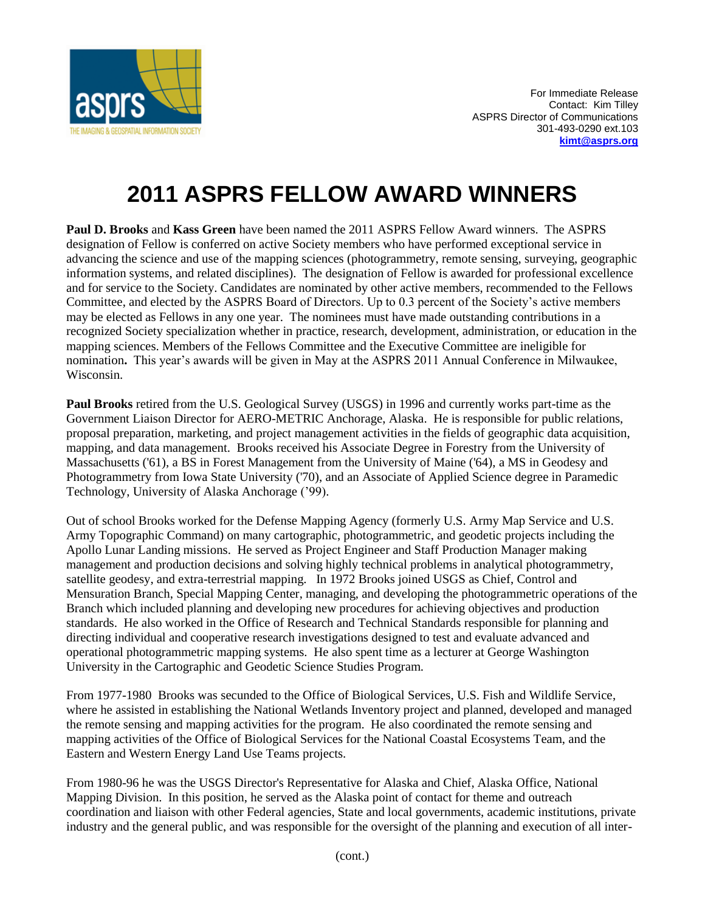

## **2011 ASPRS FELLOW AWARD WINNERS**

**Paul D. Brooks** and **Kass Green** have been named the 2011 ASPRS Fellow Award winners. The ASPRS designation of Fellow is conferred on active Society members who have performed exceptional service in advancing the science and use of the mapping sciences (photogrammetry, remote sensing, surveying, geographic information systems, and related disciplines). The designation of Fellow is awarded for professional excellence and for service to the Society. Candidates are nominated by other active members, recommended to the Fellows Committee, and elected by the ASPRS Board of Directors. Up to 0.3 percent of the Society's active members may be elected as Fellows in any one year. The nominees must have made outstanding contributions in a recognized Society specialization whether in practice, research, development, administration, or education in the mapping sciences. Members of the Fellows Committee and the Executive Committee are ineligible for nomination**.** This year's awards will be given in May at the ASPRS 2011 Annual Conference in Milwaukee, Wisconsin.

**Paul Brooks** retired from the U.S. Geological Survey (USGS) in 1996 and currently works part-time as the Government Liaison Director for AERO-METRIC Anchorage, Alaska. He is responsible for public relations, proposal preparation, marketing, and project management activities in the fields of geographic data acquisition, mapping, and data management. Brooks received his Associate Degree in Forestry from the University of Massachusetts ('61), a BS in Forest Management from the University of Maine ('64), a MS in Geodesy and Photogrammetry from Iowa State University ('70), and an Associate of Applied Science degree in Paramedic Technology, University of Alaska Anchorage ('99).

Out of school Brooks worked for the Defense Mapping Agency (formerly U.S. Army Map Service and U.S. Army Topographic Command) on many cartographic, photogrammetric, and geodetic projects including the Apollo Lunar Landing missions. He served as Project Engineer and Staff Production Manager making management and production decisions and solving highly technical problems in analytical photogrammetry, satellite geodesy, and extra-terrestrial mapping. In 1972 Brooks joined USGS as Chief, Control and Mensuration Branch, Special Mapping Center, managing, and developing the photogrammetric operations of the Branch which included planning and developing new procedures for achieving objectives and production standards. He also worked in the Office of Research and Technical Standards responsible for planning and directing individual and cooperative research investigations designed to test and evaluate advanced and operational photogrammetric mapping systems. He also spent time as a lecturer at George Washington University in the Cartographic and Geodetic Science Studies Program.

From 1977-1980 Brooks was secunded to the Office of Biological Services, U.S. Fish and Wildlife Service, where he assisted in establishing the National Wetlands Inventory project and planned, developed and managed the remote sensing and mapping activities for the program. He also coordinated the remote sensing and mapping activities of the Office of Biological Services for the National Coastal Ecosystems Team, and the Eastern and Western Energy Land Use Teams projects.

From 1980-96 he was the USGS Director's Representative for Alaska and Chief, Alaska Office, National Mapping Division. In this position, he served as the Alaska point of contact for theme and outreach coordination and liaison with other Federal agencies, State and local governments, academic institutions, private industry and the general public, and was responsible for the oversight of the planning and execution of all inter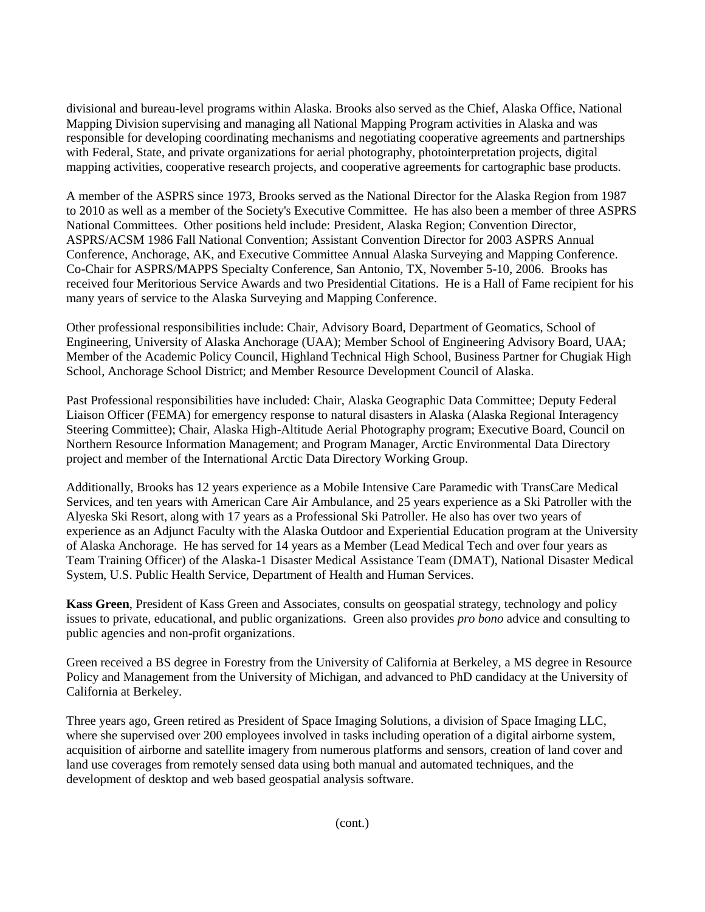divisional and bureau-level programs within Alaska. Brooks also served as the Chief, Alaska Office, National Mapping Division supervising and managing all National Mapping Program activities in Alaska and was responsible for developing coordinating mechanisms and negotiating cooperative agreements and partnerships with Federal, State, and private organizations for aerial photography, photointerpretation projects, digital mapping activities, cooperative research projects, and cooperative agreements for cartographic base products.

A member of the ASPRS since 1973, Brooks served as the National Director for the Alaska Region from 1987 to 2010 as well as a member of the Society's Executive Committee. He has also been a member of three ASPRS National Committees. Other positions held include: President, Alaska Region; Convention Director, ASPRS/ACSM 1986 Fall National Convention; Assistant Convention Director for 2003 ASPRS Annual Conference, Anchorage, AK, and Executive Committee Annual Alaska Surveying and Mapping Conference. Co-Chair for ASPRS/MAPPS Specialty Conference, San Antonio, TX, November 5-10, 2006. Brooks has received four Meritorious Service Awards and two Presidential Citations. He is a Hall of Fame recipient for his many years of service to the Alaska Surveying and Mapping Conference.

Other professional responsibilities include: Chair, Advisory Board, Department of Geomatics, School of Engineering, University of Alaska Anchorage (UAA); Member School of Engineering Advisory Board, UAA; Member of the Academic Policy Council, Highland Technical High School, Business Partner for Chugiak High School, Anchorage School District; and Member Resource Development Council of Alaska.

Past Professional responsibilities have included: Chair, Alaska Geographic Data Committee; Deputy Federal Liaison Officer (FEMA) for emergency response to natural disasters in Alaska (Alaska Regional Interagency Steering Committee); Chair, Alaska High-Altitude Aerial Photography program; Executive Board, Council on Northern Resource Information Management; and Program Manager, Arctic Environmental Data Directory project and member of the International Arctic Data Directory Working Group.

Additionally, Brooks has 12 years experience as a Mobile Intensive Care Paramedic with TransCare Medical Services, and ten years with American Care Air Ambulance, and 25 years experience as a Ski Patroller with the Alyeska Ski Resort, along with 17 years as a Professional Ski Patroller. He also has over two years of experience as an Adjunct Faculty with the Alaska Outdoor and Experiential Education program at the University of Alaska Anchorage. He has served for 14 years as a Member (Lead Medical Tech and over four years as Team Training Officer) of the Alaska-1 Disaster Medical Assistance Team (DMAT), National Disaster Medical System, U.S. Public Health Service, Department of Health and Human Services.

**Kass Green**, President of Kass Green and Associates, consults on geospatial strategy, technology and policy issues to private, educational, and public organizations. Green also provides *pro bono* advice and consulting to public agencies and non-profit organizations.

Green received a BS degree in Forestry from the University of California at Berkeley, a MS degree in Resource Policy and Management from the University of Michigan, and advanced to PhD candidacy at the University of California at Berkeley.

Three years ago, Green retired as President of Space Imaging Solutions, a division of Space Imaging LLC, where she supervised over 200 employees involved in tasks including operation of a digital airborne system, acquisition of airborne and satellite imagery from numerous platforms and sensors, creation of land cover and land use coverages from remotely sensed data using both manual and automated techniques, and the development of desktop and web based geospatial analysis software.